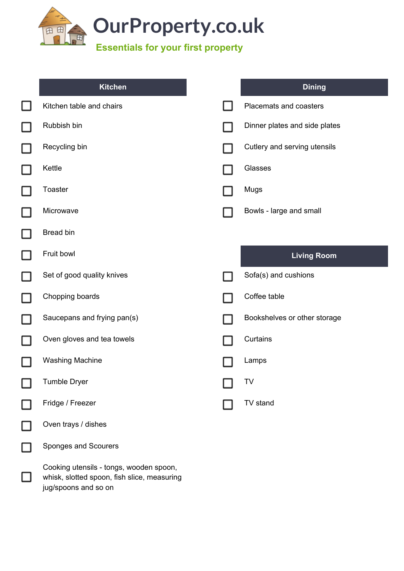

| <b>Kitchen</b>                                                                                                 | <b>Dining</b>                 |
|----------------------------------------------------------------------------------------------------------------|-------------------------------|
| Kitchen table and chairs                                                                                       | Placemats and coasters        |
| Rubbish bin                                                                                                    | Dinner plates and side plates |
| Recycling bin                                                                                                  | Cutlery and serving utensils  |
| Kettle                                                                                                         | Glasses                       |
| <b>Toaster</b>                                                                                                 | Mugs                          |
| Microwave                                                                                                      | Bowls - large and small       |
| Bread bin                                                                                                      |                               |
| Fruit bowl                                                                                                     | <b>Living Room</b>            |
| Set of good quality knives                                                                                     | Sofa(s) and cushions          |
| Chopping boards                                                                                                | Coffee table                  |
| Saucepans and frying pan(s)                                                                                    | Bookshelves or other storage  |
| Oven gloves and tea towels                                                                                     | Curtains                      |
| <b>Washing Machine</b>                                                                                         | Lamps                         |
| <b>Tumble Dryer</b>                                                                                            | TV                            |
| Fridge / Freezer                                                                                               | TV stand                      |
| Oven trays / dishes                                                                                            |                               |
| Sponges and Scourers                                                                                           |                               |
| Cooking utensils - tongs, wooden spoon,<br>whisk, slotted spoon, fish slice, measuring<br>jug/spoons and so on |                               |